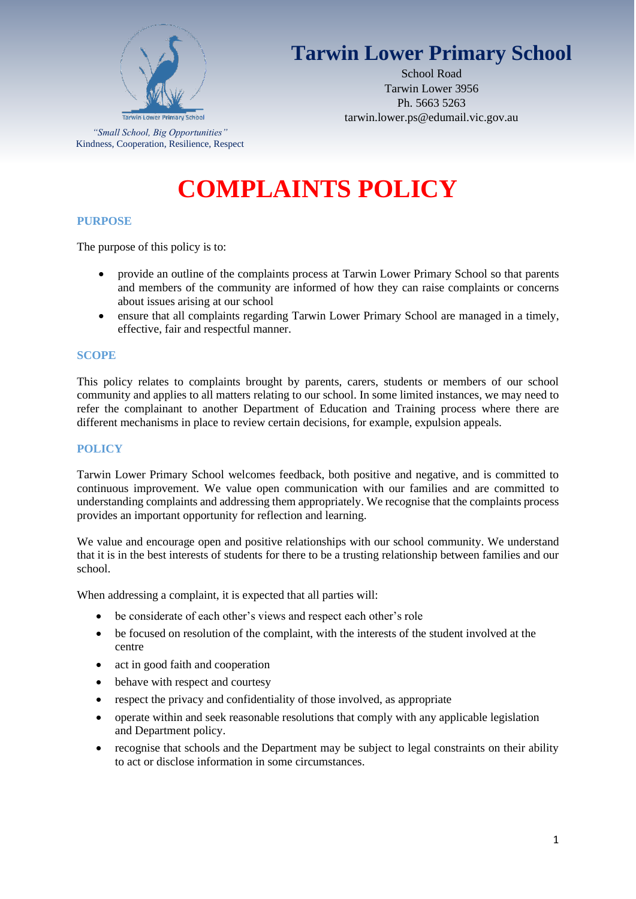

# **Tarwin Lower Primary School**

School Road Tarwin Lower 3956 Ph. 5663 5263 tarwin.lower.ps@edumail.vic.gov.au

*"Small School, Big Opportunities"* Kindness, Cooperation, Resilience, Respect

# **COMPLAINTS POLICY**

# **PURPOSE**

The purpose of this policy is to:

- provide an outline of the complaints process at Tarwin Lower Primary School so that parents and members of the community are informed of how they can raise complaints or concerns about issues arising at our school
- ensure that all complaints regarding Tarwin Lower Primary School are managed in a timely, effective, fair and respectful manner.

#### **SCOPE**

This policy relates to complaints brought by parents, carers, students or members of our school community and applies to all matters relating to our school. In some limited instances, we may need to refer the complainant to another Department of Education and Training process where there are different mechanisms in place to review certain decisions, for example, expulsion appeals.

## **POLICY**

Tarwin Lower Primary School welcomes feedback, both positive and negative, and is committed to continuous improvement. We value open communication with our families and are committed to understanding complaints and addressing them appropriately. We recognise that the complaints process provides an important opportunity for reflection and learning.

We value and encourage open and positive relationships with our school community. We understand that it is in the best interests of students for there to be a trusting relationship between families and our school.

When addressing a complaint, it is expected that all parties will:

- be considerate of each other's views and respect each other's role
- be focused on resolution of the complaint, with the interests of the student involved at the centre
- act in good faith and cooperation
- behave with respect and courtesy
- respect the privacy and confidentiality of those involved, as appropriate
- operate within and seek reasonable resolutions that comply with any applicable legislation and Department policy.
- recognise that schools and the Department may be subject to legal constraints on their ability to act or disclose information in some circumstances.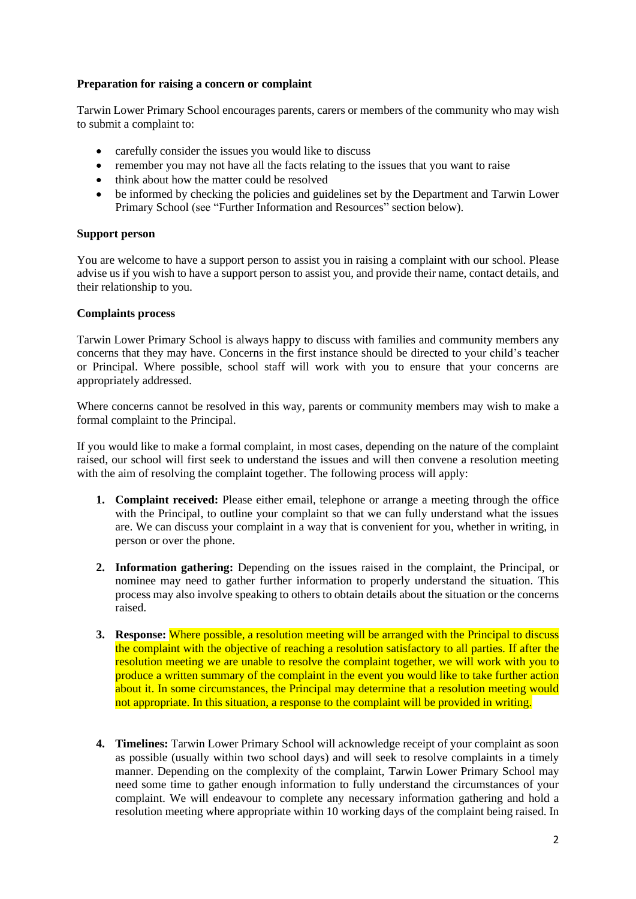# **Preparation for raising a concern or complaint**

Tarwin Lower Primary School encourages parents, carers or members of the community who may wish to submit a complaint to:

- carefully consider the issues you would like to discuss
- remember you may not have all the facts relating to the issues that you want to raise
- think about how the matter could be resolved
- be informed by checking the policies and guidelines set by the Department and Tarwin Lower Primary School (see "Further Information and Resources" section below).

#### **Support person**

You are welcome to have a support person to assist you in raising a complaint with our school. Please advise us if you wish to have a support person to assist you, and provide their name, contact details, and their relationship to you.

# **Complaints process**

Tarwin Lower Primary School is always happy to discuss with families and community members any concerns that they may have. Concerns in the first instance should be directed to your child's teacher or Principal. Where possible, school staff will work with you to ensure that your concerns are appropriately addressed.

Where concerns cannot be resolved in this way, parents or community members may wish to make a formal complaint to the Principal.

If you would like to make a formal complaint, in most cases, depending on the nature of the complaint raised, our school will first seek to understand the issues and will then convene a resolution meeting with the aim of resolving the complaint together. The following process will apply:

- **1. Complaint received:** Please either email, telephone or arrange a meeting through the office with the Principal, to outline your complaint so that we can fully understand what the issues are. We can discuss your complaint in a way that is convenient for you, whether in writing, in person or over the phone.
- **2. Information gathering:** Depending on the issues raised in the complaint, the Principal, or nominee may need to gather further information to properly understand the situation. This process may also involve speaking to others to obtain details about the situation or the concerns raised.
- **3. Response:** Where possible, a resolution meeting will be arranged with the Principal to discuss the complaint with the objective of reaching a resolution satisfactory to all parties. If after the resolution meeting we are unable to resolve the complaint together, we will work with you to produce a written summary of the complaint in the event you would like to take further action about it. In some circumstances, the Principal may determine that a resolution meeting would not appropriate. In this situation, a response to the complaint will be provided in writing.
- **4. Timelines:** Tarwin Lower Primary School will acknowledge receipt of your complaint as soon as possible (usually within two school days) and will seek to resolve complaints in a timely manner. Depending on the complexity of the complaint, Tarwin Lower Primary School may need some time to gather enough information to fully understand the circumstances of your complaint. We will endeavour to complete any necessary information gathering and hold a resolution meeting where appropriate within 10 working days of the complaint being raised. In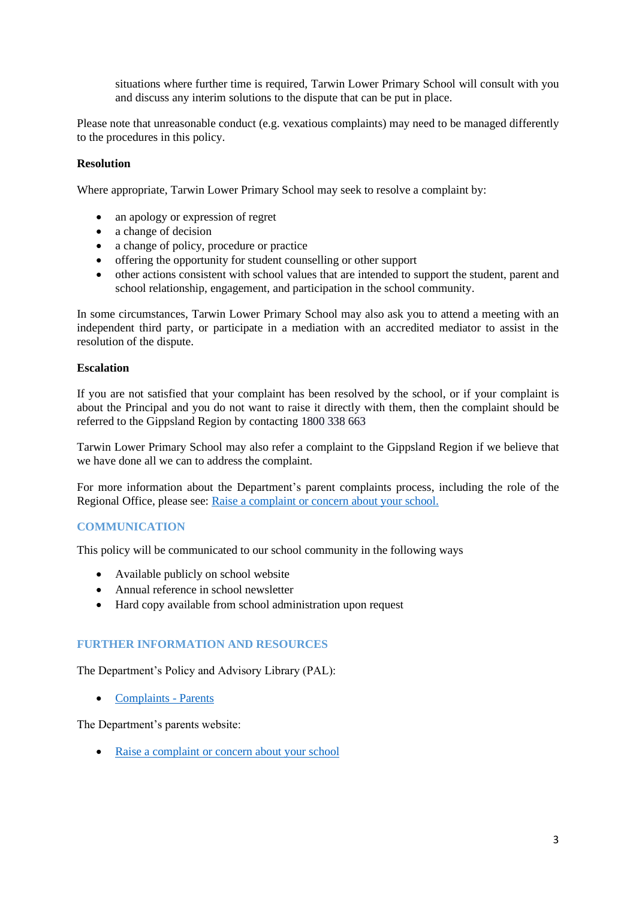situations where further time is required, Tarwin Lower Primary School will consult with you and discuss any interim solutions to the dispute that can be put in place.

Please note that unreasonable conduct (e.g. vexatious complaints) may need to be managed differently to the procedures in this policy.

#### **Resolution**

Where appropriate, Tarwin Lower Primary School may seek to resolve a complaint by:

- an apology or expression of regret
- a change of decision
- a change of policy, procedure or practice
- offering the opportunity for student counselling or other support
- other actions consistent with school values that are intended to support the student, parent and school relationship, engagement, and participation in the school community.

In some circumstances, Tarwin Lower Primary School may also ask you to attend a meeting with an independent third party, or participate in a mediation with an accredited mediator to assist in the resolution of the dispute.

#### **Escalation**

If you are not satisfied that your complaint has been resolved by the school, or if your complaint is about the Principal and you do not want to raise it directly with them, then the complaint should be referred to the Gippsland Region by contacting 1800 338 663

Tarwin Lower Primary School may also refer a complaint to the Gippsland Region if we believe that we have done all we can to address the complaint.

For more information about the Department's parent complaints process, including the role of the Regional Office, please see: [Raise a complaint or concern about your school.](https://www.vic.gov.au/raise-complaint-or-concern-about-your-school#speaking-to-your-school)

#### **COMMUNICATION**

This policy will be communicated to our school community in the following ways

- Available publicly on school website
- Annual reference in school newsletter
- Hard copy available from school administration upon request

#### **FURTHER INFORMATION AND RESOURCES**

The Department's Policy and Advisory Library (PAL):

• [Complaints -](https://www2.education.vic.gov.au/pal/complaints/policy) Parents

The Department's parents website:

• Raise a complaint [or concern about your school](https://www.education.vic.gov.au/parents/going-to-school/Pages/school-complaints.aspx#policy)